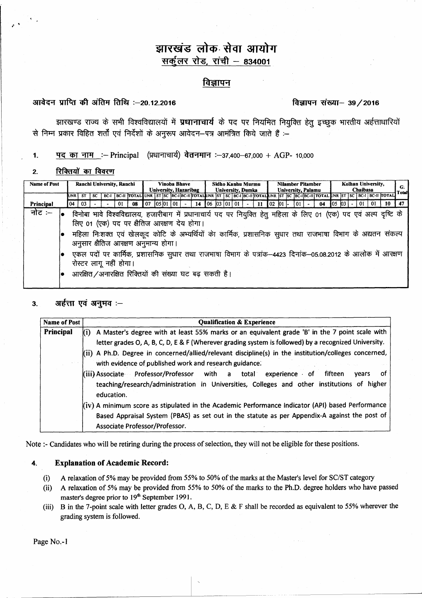# झारखंड लोक सेवा आयोग सर्कुलर रोड, रांची - 834001

## विज्ञापन

# आवेदन प्राप्ति की अंतिम तिथि :-20 12 2016

### विज्ञापन संख्या- 39/2016

झारखण्ड राज्य के सभी विश्वविद्यालयों में प्रधानाचार्य के पद पर नियमित नियुक्ति हेतु इच्छुक भारतीय अर्हताधारियों से निम्न प्रकार विहित शर्तों एवं निर्देशों के अनुरूप आवेदन–पत्र आमंत्रित किये जाते हैं :–

पद का नाम :-- Principal (प्रधानाचार्य) वेतनमान :- 37,400-67,000 + AGP- 10,000  $1.$ 

#### रिक्तियों का विवरण  $\overline{2}$ .

| <b>Name of Post</b> | Ranchi University, Ranchi                                                                                                                                         |     |     |  |  |                                                                                                                                | <b>Vinoba Bhave</b><br>University, Hazaribag |       |     |  |  | Sidho Kanhu Murmu<br><b>University, Dumka</b> |  |                |  | <b>Nilamber Pitamber</b><br><b>University, Palamu</b> |  |    |  |  | Kolhan University,<br>Chaibasa |  |    |  | G:<br>Total |  |  |    |  |
|---------------------|-------------------------------------------------------------------------------------------------------------------------------------------------------------------|-----|-----|--|--|--------------------------------------------------------------------------------------------------------------------------------|----------------------------------------------|-------|-----|--|--|-----------------------------------------------|--|----------------|--|-------------------------------------------------------|--|----|--|--|--------------------------------|--|----|--|-------------|--|--|----|--|
|                     | IUNR I                                                                                                                                                            | -ST | SC. |  |  | BC-I BC-II TOTAL UNR ST SC BC-I BC-II TOTAL UNR ST SC BC-II BC-II TOTAL UNR ST SC BC-IIBC-II TOTAL UNR ST SC BC-II BC-II TOTAL |                                              |       |     |  |  |                                               |  |                |  |                                                       |  |    |  |  |                                |  |    |  |             |  |  |    |  |
| Principal           | 04                                                                                                                                                                | 03  |     |  |  | 08                                                                                                                             | 07                                           | 05 01 | 101 |  |  |                                               |  | 14 06 03 01 01 |  |                                                       |  | 02 |  |  |                                |  | 04 |  |             |  |  | 10 |  |
| नोट :–              | विनोबा भावे विश्वविद्यालय, हजारीबाग में प्रधानाचार्य पद पर नियुक्ति हेतु महिला के लिए 01 (एक) पद एवं अल्प दृष्टि के<br>लिए 01 (एक) पद पर क्षैतिज आरक्षण देय होगा। |     |     |  |  |                                                                                                                                |                                              |       |     |  |  |                                               |  |                |  |                                                       |  |    |  |  |                                |  |    |  |             |  |  |    |  |
|                     | महिला निःशक्त एवं खेलकूद कोटि के अभ्यर्थियों का कार्मिक, प्रशासनिक सुधार तथा राजभाषा विभाग के अद्यतन संकल्प<br>अनुसार क्षैतिज आरक्षण अनुमान्य होगा।               |     |     |  |  |                                                                                                                                |                                              |       |     |  |  |                                               |  |                |  |                                                       |  |    |  |  |                                |  |    |  |             |  |  |    |  |
|                     | एकल पदों पर कार्मिक, प्रशासनिक सुधार तथा राजभाषा विभाग के पत्रांक–4423 दिनांक–05.08.2012 के आलोक में आरक्षण<br>रोस्टर लागू नहीं होगा।                             |     |     |  |  |                                                                                                                                |                                              |       |     |  |  |                                               |  |                |  |                                                       |  |    |  |  |                                |  |    |  |             |  |  |    |  |
|                     | आरक्षित/अनारक्षित रिक्तियों की संख्या घट बढ़ सकती है।                                                                                                             |     |     |  |  |                                                                                                                                |                                              |       |     |  |  |                                               |  |                |  |                                                       |  |    |  |  |                                |  |    |  |             |  |  |    |  |

#### अर्हत्ता एवं अनुभव :–  $3<sub>1</sub>$

| <b>Name of Post</b> | <b>Qualification &amp; Experience</b>                                                                                                                                                                                                                                                                                                                                                                                                                                                                                                                                                                                                                                                                                                                                                                                                  |  |  |  |  |  |  |  |  |  |  |  |  |
|---------------------|----------------------------------------------------------------------------------------------------------------------------------------------------------------------------------------------------------------------------------------------------------------------------------------------------------------------------------------------------------------------------------------------------------------------------------------------------------------------------------------------------------------------------------------------------------------------------------------------------------------------------------------------------------------------------------------------------------------------------------------------------------------------------------------------------------------------------------------|--|--|--|--|--|--|--|--|--|--|--|--|
| Principal           | A Master's degree with at least 55% marks or an equivalent grade 'B' in the 7 point scale with<br>(i)<br>letter grades O, A, B, C, D, E & F (Wherever grading system is followed) by a recognized University.<br>$(iii)$ A Ph.D. Degree in concerned/allied/relevant discipline(s) in the institution/colleges concerned,<br>with evidence of published work and research guidance.<br>(iii) Associate Professor/Professor with a total<br>experience of<br>fifteen<br>vears<br>ΟT<br>teaching/research/administration in Universities, Colleges and other institutions of higher<br>education.<br>(iv) A minimum score as stipulated in the Academic Performance Indicator (API) based Performance<br>Based Appraisal System (PBAS) as set out in the statute as per Appendix-A against the post of<br>Associate Professor/Professor. |  |  |  |  |  |  |  |  |  |  |  |  |

Note :- Candidates who will be retiring during the process of selection, they will not be eligible for these positions.

#### $\overline{\mathbf{4}}$ . **Explanation of Academic Record:**

- A relaxation of 5% may be provided from 55% to 50% of the marks at the Master's level for SC/ST category  $(i)$
- A relaxation of 5% may be provided from 55% to 50% of the marks to the Ph.D. degree holders who have passed  $(ii)$ master's degree prior to 19<sup>th</sup> September 1991.
- B in the 7-point scale with letter grades O, A, B, C, D, E & F shall be recorded as equivalent to 55% wherever the  $(iii)$ grading system is followed.

Page No.-1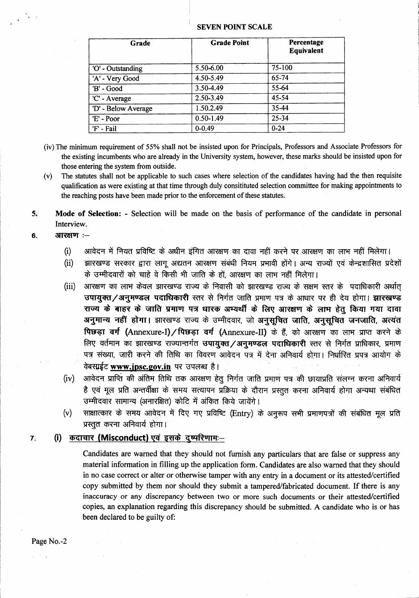#### SEVEN POINT SCALE

| Grade               | <b>Grade Point</b> | Percentage<br>Equivalent |
|---------------------|--------------------|--------------------------|
| 'O' - Outstanding   | 5.50-6.00          | 75-100                   |
| 'A' - Very Good     | 4.50-5.49          | 65-74                    |
| 'B' - Good          | $3.50 - 4.49$      | 55-64                    |
| 'C' - Average       | 2.50-3.49          | 45-54                    |
| 'D' - Below Average | 1.50.2.49          | 35-44                    |
| 'E' - Poor          | $0.50 - 1.49$      | 25-34                    |
| 'F' - Fail          | $0 - 0.49$         | $0 - 24$                 |

- (iv) The minimum requirement of 55% shall not be insisted upon for Principals, Professors and Associate Professors for the existing incumbents who are already in the University system, however, these marks should be insisted upon for those entering the system from outside.
- (v) The statutes shall not be applicable to such cases where selection of the candidates having had the then requisite qualification as were existing at that time through duly consitituted selection committee for making appointments to the reaching posts have been made prior to the enforcement of these statutes.
- 5. Mode of Selection: Selection will be made on the basis of performance of the candidate in personal Interview.
- $6.$  आरक्षण  $-$ 
	- (i) व्यावेदन में नियत प्रविष्टि के अधीन इंगित आरक्षण का दावा नहीं करने पर आरक्षण का लाभ नहीं मिलेगा।
	- (ii) झारखण्ड सरकार द्वारा लागू अद्यतन आरक्षण संबंधी नियम प्रभावी होंगे। अन्य राज्यों एवं केन्द्रशासित प्रदेशों के उम्मीदवारों को चाहे वे किसी भी जाति के हों, आरक्षण का लाभ नहीं मिलेगा।
	- (iii) आरक्षण का लाभ केवल झारखण्ड राज्य के निवासी को झारखण्ड राज्य के सक्षम स्तर के पदाधिकारी अर्थात उपायुक्त / अनुमण्डल पदाधिकारी स्तर से निर्गत जाति प्रमाण पत्र के आधार पर ही देय होगा। झारखण्ड राज्य के बाहर के जाति प्रमाण पत्र धारक अभ्यर्थी के लिए आरक्षण के लाभ हेतू किया गया दावा अनुमान्य नहीं होगा। झारखण्ड राज्य के उम्मीदवार, जो अनुसूचित जाति, अनुसूचित जनजाति, अत्यंत पिछड़ा वर्ग (Annexure-I)/पिछड़ा वर्ग (Annexure-II) के हैं, को आरक्षण का लाभ प्राप्त करने के लिए वर्तमान का झारखण्ड राज्यान्तर्गत **उपायुक्त /अनुमण्डल पदाधिकारी** स्तर से निर्गत प्राधिकार, प्रमाण पत्र संख्या, जारी करने की तिथि का विवरण आवेदन पत्र में देना अनिवार्य होगा। निर्धारित प्रपत्र आयोग के वेबसाईट www.ipsc.gov.in पर उपलब्ध है।
	- (iv) जावेदन प्राप्तिं की अंतिम तिथि तक आरक्षण हेतु निर्गत जाति प्रमाण पत्र की छायाप्रति संलग्न करना अनिवार्य है एवं मूल प्रति अन्तर्वीक्षा के समय सत्यापन प्रक्रिया के दौरान प्रस्तुत करना अनिवार्य होगा अन्यथा संबंधित उम्मीदवार सामान्य (अनारक्षित) कोटि में अंकित किये जायेंगे।
	- (v) साक्षात्कार के समय आवेदन में दिए गए प्रविष्टि (Entry) के अनुरूप सभी प्रमाणपत्रों की संबंधित मूल प्रति प्रस्तुत करना अनिवार्य होगा।

### 7. (i) कदाचार (Misconduct) एवं इसके दुष्परिणामः-

Candidates are warned that they should not furnish any particulars that are false or suppress any material information in filling up the application form. Candidates are also warned that they should in no case correct or alter or otherwise tamper with any entry in a document or its attested/certified copy submitted by them nor should they submit a tampered/fabricated document. If there is any inaccuracy or any discrepancy between two or more such documents or their attested/certified copies, an explanation regarding this discrepancy should be submitted. A candidate who is or has been declared to be guilty of:

Page No.-2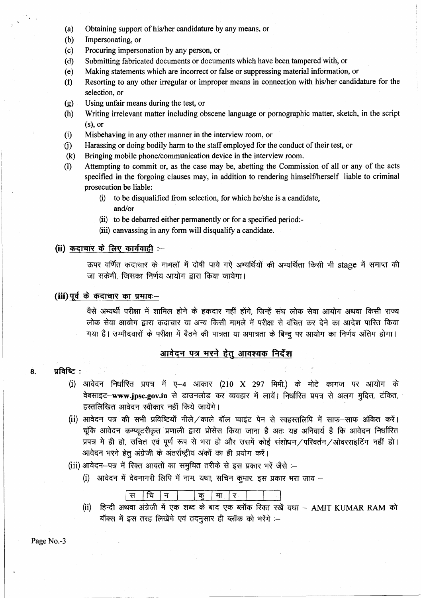- (a) Obtaining support of his/her candidature by any means, or
- (b) Impersonating, or
- (c) Procuring impersonation by any person, or
- (d) Submitting fabricated documents or documents which have been tampered with, or
- (e) Making statements which are incorrect or false or suppressing material information, or
- (f) Resorting to any other irregular or improper means in connection with hislher candidature for the selection, or
- (g) Using unfair means during the test, or
- (h) Writing irrelevant matter including obscene language or pornographic matter, sketch, in the script (s), or
- (i) Misbehaving in any other manner in the interview room, or
- 0) Harassing or doing bodily harm to the staff employed for the conduct of their test, or
- (k) Bringing mobile phone/communication device in the interview room.
- (I) Attempting to commit or, as the case may be, abetting the Commission of all or any of the acts specified in the forgoing clauses may, in addition to rendering himself/herself liable to criminal prosecution be liable:
	- (i) to be disqualified from selection, for which he/she is a candidate, and/or
	- (ii) to be debarred either permanently or for a specified period:-
	- (iii) canvassing in any form will disqualify a candidate.

# *(ii)* कदाचार के लिए कार्यवाही :-

ऊपर वर्णित कदाचार के मामलों में दोषी पाये गऐ अभ्यर्थियों की अभ्यर्थिता किसी भी stage में समाप्त की जा सकेगी, जिसका निर्णय आयोग द्वारा किया जायेगा।

# **(iii)** पूर्व के कदाचार का प्रभावः-

वैसे अभ्यर्थी परीक्षा में शामिल होने के हकदार नहीं होंगे, जिन्हें संघ लोक सेवा आयोग अथवा किसी राज्य लोक सेवा आयोग द्वारा कदाचार या अन्य किसी मामले में परीक्षा से वंचित कर देने का आदेश पारित किया गया है। उम्मीदवारों के परीक्षा में बैठने की पात्रता या अपात्रता के बिन्दू पर आयोग का निर्णय अंतिम होगा।

# आवेदन पत्र भरने हेतु आवश्यक निर्देश

#### $8.$   $\sqrt{10}$   $\sqrt{6}$ :

- $(i)$  आवेदन निर्धारित प्रपत्र में ए-4 आकार (210 X 297 मिमी.) के मोटे कागज पर आयोग के वेबसाइट-www.jpsc.gov.in से डाउनलोड कर व्यवहार में लायें। निर्धारित प्रपत्र से अलग मुद्रित, टंकित, हस्तलिखित आवेदन स्वीकार नहीं किये जायेंगे।
- (ii) आवेदन पत्र की सभी प्रविष्टियाँ नीले / काले बॉल प्वाइंट पेन से स्वहस्तलिपि में साफ-साफ अंकित करें। चूंकि आवेदन कम्प्यूटरीकृत प्रणाली द्वारा प्रोसेस किया जाना है अतः यह अनिवार्य है कि आवेदन निर्धारित प्रपत्र मे ही हो, उचित एवं पूर्ण रूप से भरा हो और उसमें कोई संशोधन / परिवर्तन / ओवरराइटिंग नहीं हो। आवेदन भरने हेतु अंग्रेजी के अंतर्राष्ट्रीय अंकों का ही प्रयोग करें।
- (iii) आवेदन-पत्र में रिक्त आयतों का समुचित तरीके से इस प्रकार भरें जैसे :-
	- (i) आवेदन में देवनागरी लिपि में नाम. यथा; सचिन कुमार, इस प्रकार भरा जाय –

$$
\boxed{\mathfrak{R}} \boxed{\mathfrak{R}} \boxed{\mathfrak{q}}
$$

(ii) हिन्दी अथवा अंग्रेजी में एक शब्द के बाद एक ब्लॉक रिक्त रखें यथा – AMIT KUMAR RAM को बॉक्स में इस तरह लिखेंगे एवं तदनुसार ही ब्लॉक को भरेंगे :--

Page No.-3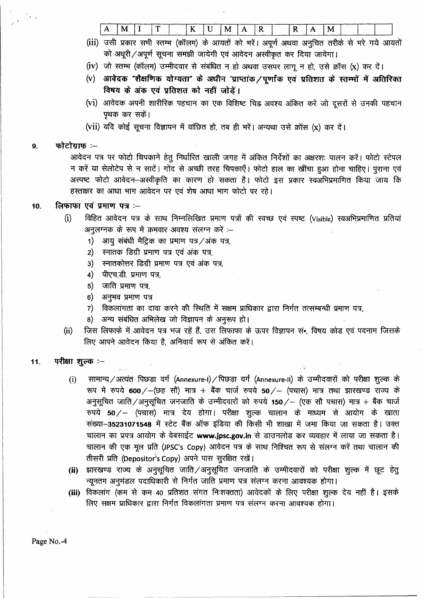| M<br>____ | --- | $- -$<br>-- | __ | M |  | . . | M |  |  |
|-----------|-----|-------------|----|---|--|-----|---|--|--|
|           |     |             |    |   |  |     |   |  |  |

- (iii) उसी प्रकार सभी स्तम्भ (कॉलम) के आयतों को भरें। अपूर्ण अथवा अनुचित तरीके से भरे गये आयतों को अधूरी / अपूर्ण सूचना समझी जायेगी एवं आवेदन अस्वीकृत कर दिया जायेगा।
- (iv) जो स्तम्भ (कॉलम) उम्मीदवार से संबंधित न हो अथवा उसपर लागू न हो, उसे क्रॉस (x) कर दें।
- (v) आवेदक "शैक्षणिक योग्यता" के अधीन 'प्राप्तांक / पूर्णांक एवं प्रतिशत के स्तम्मों में अतिरिक्त विषय के अंक एवं प्रतिशत को नहीं जोड़ें।
- (vi) आवेदक अपनी शारीरिक पहचान का एक विशिष्ट चिह्न अवश्य अंकित करें जो दूसरों से उनकी पहचान पृथक कर सकें।
- (vii) यदि कोई सूचना विज्ञापन में वांछित हो, तब ही भरें। अन्यथा उसे क्रॉस (x) कर दें।

#### फोटोग्राफ:-- $9<sub>1</sub>$

आवेदन पत्र पर फोटो चिपकाने हेतु निर्धारित खाली जगह में अंकित निर्देशों का अक्षरशः पालन करें। फोटो स्टेपल न करें या सेलोटेप से न साटें। गोंद से अच्छी तरह चिपकाएँ। फोटो हाल का खींचा हुआ होना चाहिए। पुराना एवं अस्पष्ट फोटो आवेदन-अस्वीकृति का कारण हो सकता है। फोटो इस प्रकार स्वअभिप्रमाणित किया जाय कि हस्ताक्षर का आधा भाग आवेदन पर एवं शेष आधा भाग फोटो पर रहे।

#### लिफाफा एवं प्रमाण पत्र :- $10.$

- विहित आवेदन पत्र के साथ निम्नलिखित प्रमाण पत्रों की स्वच्छ एवं स्पष्ट (Visible) स्वअभिप्रमाणित प्रतियां  $(i)$ अनुलग्नक के रूप में क्रमवार अवश्य संलग्न करें :-
	- आयु संबंधी मैट्रिक का प्रमाण पत्र/अंक पत्र,  $1)$
	- स्नातक डिग्री प्रमाण पत्र एवं अंक पत्र,  $2)$
	- $3)$ स्नातकोत्तर डिग्री प्रमाण पत्र एवं अंक पत्र,
	- $4)$ पीएच.डी. प्रमाण पत्र,
	- जाति प्रमाण पत्र,  $5)$
	- $6)$ अनुभव प्रमाण पत्र
	- $7)$ विकलांगता का दावा करने की स्थिति में सक्षम प्राधिकार द्वारा निर्गत तत्सम्बन्धी प्रमाण पत्र,
	- अन्य संबंधित अभिलेख जो विज्ञापन के अनुरूप हो। 8)
- जिस लिफाफे में आवेदन पत्र भज रहें हैं, उस लिफाफा के ऊपर विज्ञापन स•, विषय कोड एवं पदनाम जिसके  $(ii)$ लिए आपने आवेदन किया है, अनिवार्य रूप से अंकित करें।

#### परीक्षा शुल्क :--11.

- सामान्य / अत्यंत पिछड़ा वर्ग (Annexure-I) / पिछड़ा वर्ग (Annexure-II) के उम्मीदवारों को परीक्षा शुल्क के  $(i)$ रूप में रुपये 600/-(छह सौ) मात्र + बैंक चार्ज रुपये 50/- (पचास) मात्र तथा झारखण्ड राज्य के अनुसूचित जाति/अनुसूचित जनजाति के उम्मीदवारों को रुपये 150/- (एक सौ पचास) मात्र + बैंक चार्ज रुपये 50/ - (पचास) मात्र देय होगा। परीक्षा शुल्क चालान के माध्यम से आयोग के खाता संख्या-35231071548 में स्टेट बैंक ऑफ इंडिया की किसी भी शाखा में जमा किया जा सकता है। उक्त चालान का प्रपत्र आयोग के वेबसाईट www.jpsc.gov.in से डाउनलोड कर व्यवहार में लाया जा सकता है। चालान की एक मूल प्रति (JPSC's Copy) आवेदन पत्र के साथ निश्चित रूप से संलग्न करें तथा चालान की तीसरी प्रति (Depositor's Copy) अपने पास सुरक्षित रखें।
- (ii) झारखण्ड राज्य के अनूसूचित जाति/अनूसूचित जनजाति के उम्मीदवारों को परीक्षा शुल्क में छूट हेतू न्यूनतम अनुमंडल पदाधिकारी से निर्गत जाति प्रमाण पत्र संलग्न करना आवश्यक होगा।
- (iii) विकलांग (कम से कम 40 प्रतिशत संगत निःशक्तता) आवेदकों के लिए परीक्षा शुल्क देय नहीं है। इसके लिए सक्षम प्राधिकार द्वारा निर्गत विकलांगता प्रमाण पत्र संलग्न करना आवश्यक होगा।